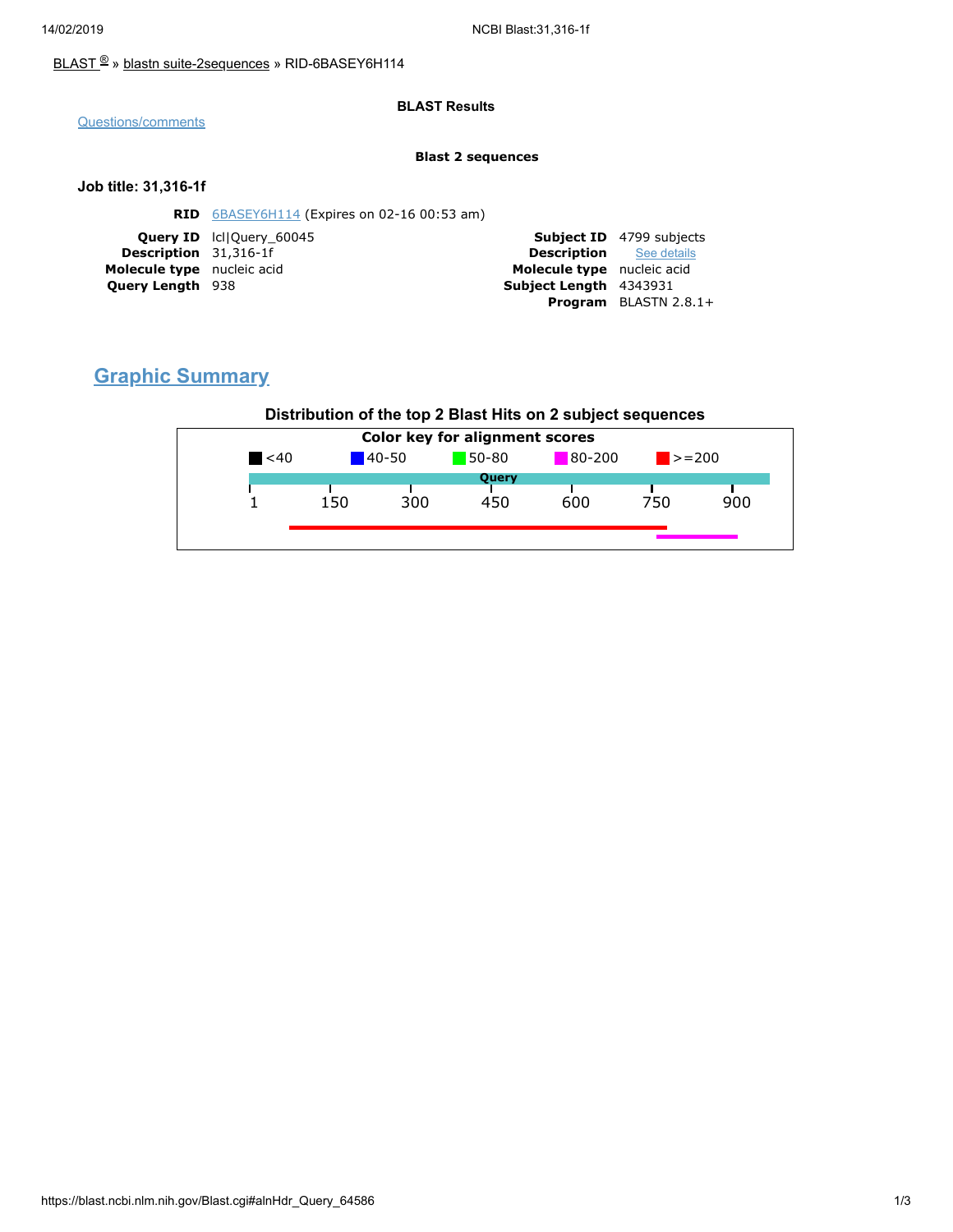### [BLAST](https://blast.ncbi.nlm.nih.gov/Blast.cgi) ® » blastn [suite-2sequences](https://blast.ncbi.nlm.nih.gov/Blast.cgi?PAGE=MegaBlast&PROGRAM=blastn&PAGE_TYPE=BlastSearch&BLAST_SPEC=blast2seq) » RID-6BASEY6H114

#### **BLAST Results**

[Questions/comments](https://support.nlm.nih.gov/knowledgebase/category/?id=CAT-01239)

#### **Blast 2 sequences**

#### **Job title: 31,316-1f**

| <b>RID</b> $6BASEY6H114$ (Expires on 02-16 00:53 am) |                                                                                                                          |                                 |
|------------------------------------------------------|--------------------------------------------------------------------------------------------------------------------------|---------------------------------|
|                                                      |                                                                                                                          | <b>Subject ID</b> 4799 subjects |
|                                                      | <b>Description</b> See details                                                                                           |                                 |
|                                                      | Molecule type nucleic acid                                                                                               |                                 |
|                                                      | Subject Length 4343931                                                                                                   |                                 |
|                                                      |                                                                                                                          | <b>Program</b> BLASTN $2.8.1+$  |
|                                                      | <b>Query ID</b> IcllOuery 60045<br><b>Description</b> 31,316-1f<br>Molecule type nucleic acid<br><b>Query Length 938</b> |                                 |

# **Graphic Summary**

### **Distribution of the top 2 Blast Hits on 2 subject sequences**

| <b>Color key for alignment scores</b> |            |     |                     |     |             |     |  |
|---------------------------------------|------------|-----|---------------------|-----|-------------|-----|--|
| $\leq 40$                             | $140 - 50$ |     | 80-200<br>$50 - 80$ |     | $\ge$ = 200 |     |  |
|                                       |            |     | Query               |     |             |     |  |
|                                       | 150        | 300 | 450                 | 600 | 750         | 900 |  |
|                                       |            |     |                     |     |             |     |  |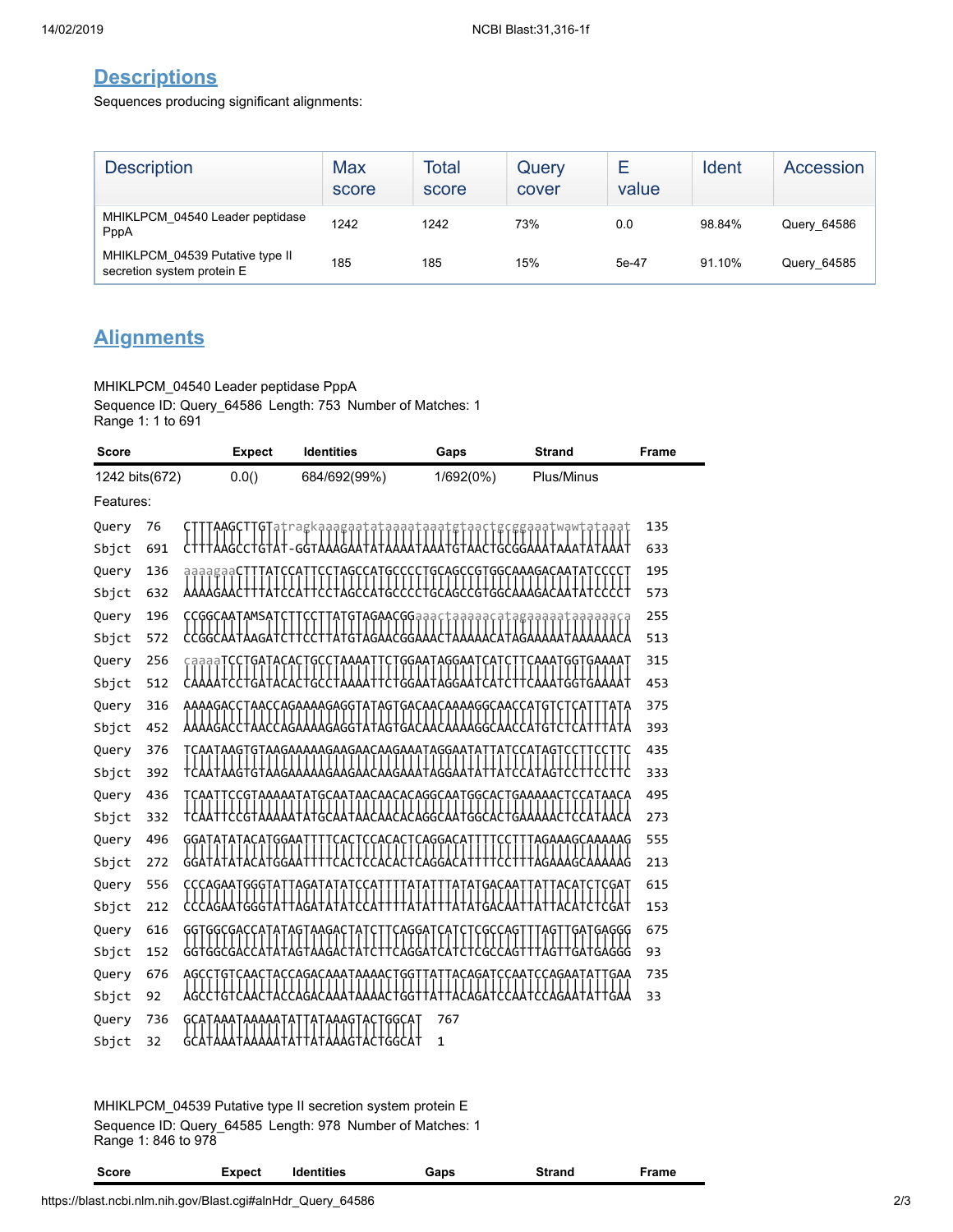## **Descriptions**

Sequences producing significant alignments:

| <b>Description</b>                                            | Max<br>score | Total<br>score | Query<br>cover | Е<br>value | Ident  | Accession   |
|---------------------------------------------------------------|--------------|----------------|----------------|------------|--------|-------------|
| MHIKLPCM 04540 Leader peptidase<br>PppA                       | 1242         | 1242           | 73%            | 0.0        | 98.84% | Query_64586 |
| MHIKLPCM 04539 Putative type II<br>secretion system protein E | 185          | 185            | 15%            | 5e-47      | 91.10% | Query_64585 |

# **Alignments**

MHIKLPCM\_04540 Leader peptidase PppA Sequence ID: Query\_64586 Length: 753 Number of Matches: 1 Range 1: 1 to 691

| <b>Score</b>   |            | <b>Expect</b>           | <b>Identities</b>                       | Gaps                                                               | <b>Strand</b>                             | <b>Frame</b> |
|----------------|------------|-------------------------|-----------------------------------------|--------------------------------------------------------------------|-------------------------------------------|--------------|
| 1242 bits(672) |            | 0.0()                   | 684/692(99%)                            | 1/692(0%)                                                          | Plus/Minus                                |              |
| Features:      |            |                         |                                         |                                                                    |                                           |              |
| Query          | 76         |                         |                                         |                                                                    | cggaaatwawtataaat                         | 135          |
| Sbjct          | 691        |                         | AAGCCTGTAT-GGTAAAGAATATAAAA             | TAAATGTAAC                                                         | TGCGGAAATAAA1                             | 633          |
| Query          | 136        |                         | GC                                      | GCAGCCGTGGCAAAGACAAT                                               |                                           | 195          |
| Sbjct          | 632        |                         | G                                       | :GTGGCAA                                                           |                                           | 573          |
| Query          | 196        | CCGGCAATAMSATCTTCCT     |                                         |                                                                    | TATGTAGAACGGaaactaaaaacatagaaaaataaaaaaca | 255          |
| Sbjct          | 572        | <b>CCGGCAATAAGATCTT</b> | CTTATGTAGAACGGAAACTA                    |                                                                    | YYHYYYYYY<br>Ataa                         | 513          |
| Query          | 256        |                         | GCCTAAAA                                | GGAATAGGAAT<br>CΑ                                                  | CAAATGGTGAAAAT                            | 315          |
| Sbjct          | 512        |                         | CCTGATACACTGCCTAAAA                     | TTCTGGAATAGGAAT<br><b>САТСТ</b>                                    |                                           | 453          |
| Query          | 316        |                         | YY?Y?F+YY?FY?YYYY????+Y+Y?+?Y?YYYYY     | <u>AAAAGACCTAACCAGAAAAGAGGTATAGTGACAACAAAAGGCAACCAT</u><br>የየኖናየሃና | ĢΤ                                        | 375          |
| Sbjct          | 452        |                         |                                         |                                                                    | :CATGT                                    | 393          |
| Query          | 376<br>392 |                         | GTAAGAAAAAGAAGAACAAGAAATAGGAA<br>Y9YYAY | ዋኘ                                                                 |                                           | 435<br>333   |
| Sbjct<br>Query | 436        |                         |                                         | GCAATAACAACACAGGCAATGGCAC                                          | TGAAAAACTCCATAACA                         | 495          |
| Sbjct          | 332        |                         |                                         | ϹϒϒϒϘϘϘϘϘϘϘϒϘϒϘ                                                    |                                           | 273          |
| Query          | 496        | GGATATATACATGGAAT       | CACT                                    | <b>CCACACTCAGGACAT</b><br>C                                        | TAGAAAGCAAAAAG                            | 555          |
| Sbjct          | 272        |                         |                                         |                                                                    |                                           | 213          |
| Query          | 556        | CCCAGAATGGGTA           |                                         |                                                                    |                                           | 615          |
| Sbjct          | 212        | AGAATGGGTAT             |                                         |                                                                    |                                           | 153          |
| Query          | 616        |                         |                                         |                                                                    |                                           | 675          |
| Sbjct          | 152        |                         |                                         |                                                                    |                                           | 93           |
| Query          | 676        |                         | ACCAGACAAATAAAAC<br>                    | GG                                                                 | ҪҪӒҀӐӐҬӒ                                  | 735          |
| Sbjct          | 92         |                         |                                         |                                                                    |                                           | 33           |
| Query          | 736        | GCATAAATAAAAATAT        | ʹϟͳϟϟϟϚͳϟϚͳ                             | 767<br>GGCA1                                                       |                                           |              |
| Sbjct          | 32         |                         |                                         | $\mathbf{1}$                                                       |                                           |              |

MHIKLPCM\_04539 Putative type II secretion system protein E Sequence ID: Query\_64585 Length: 978 Number of Matches: 1 Range 1: 846 to 978

| Score | Expect | Identities | Gaps | Strand | Frame |
|-------|--------|------------|------|--------|-------|
|-------|--------|------------|------|--------|-------|